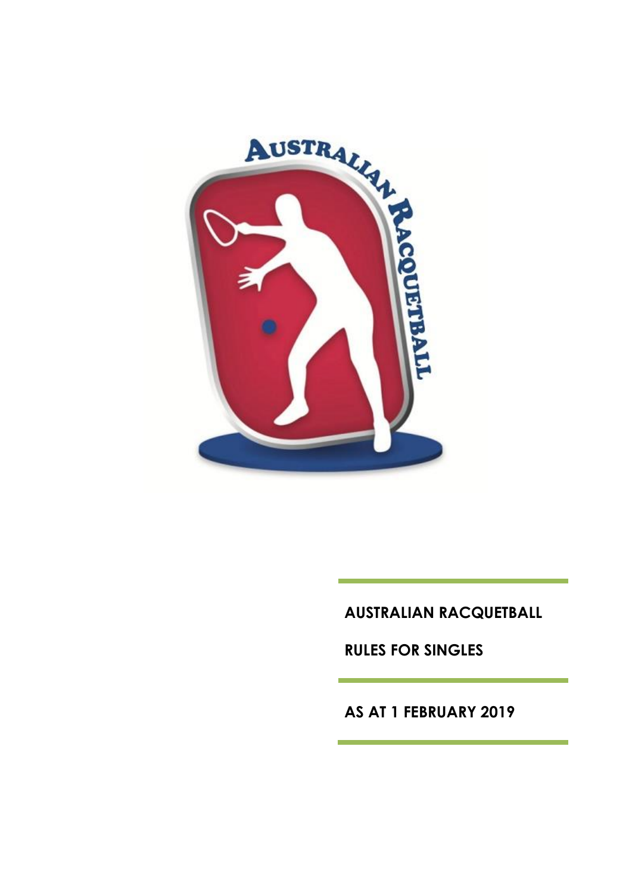

**AUSTRALIAN RACQUETBALL**

**RULES FOR SINGLES**

**AS AT 1 FEBRUARY 2019**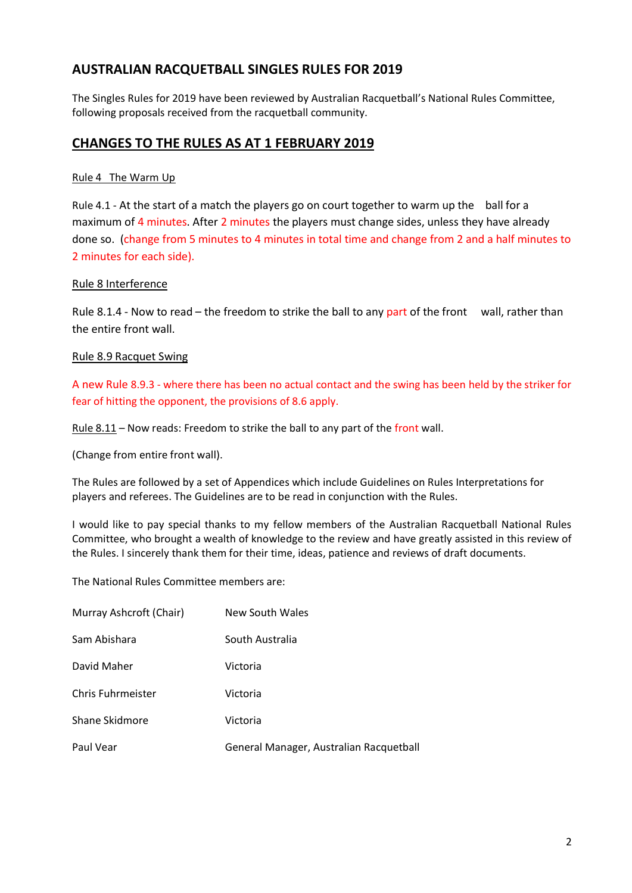## **AUSTRALIAN RACQUETBALL SINGLES RULES FOR 2019**

The Singles Rules for 2019 have been reviewed by Australian Racquetball's National Rules Committee, following proposals received from the racquetball community.

#### **CHANGES TO THE RULES AS AT 1 FEBRUARY 2019**

#### Rule 4 The Warm Up

Rule 4.1 - At the start of a match the players go on court together to warm up the ball for a maximum of 4 minutes. After 2 minutes the players must change sides, unless they have already done so. (change from 5 minutes to 4 minutes in total time and change from 2 and a half minutes to 2 minutes for each side).

#### Rule 8 Interference

Rule 8.1.4 - Now to read – the freedom to strike the ball to any part of the front wall, rather than the entire front wall.

#### Rule 8.9 Racquet Swing

A new Rule 8.9.3 - where there has been no actual contact and the swing has been held by the striker for fear of hitting the opponent, the provisions of 8.6 apply.

Rule  $8.11$  – Now reads: Freedom to strike the ball to any part of the front wall.

(Change from entire front wall).

The Rules are followed by a set of Appendices which include Guidelines on Rules Interpretations for players and referees. The Guidelines are to be read in conjunction with the Rules.

I would like to pay special thanks to my fellow members of the Australian Racquetball National Rules Committee, who brought a wealth of knowledge to the review and have greatly assisted in this review of the Rules. I sincerely thank them for their time, ideas, patience and reviews of draft documents.

The National Rules Committee members are:

| Murray Ashcroft (Chair)  | New South Wales                         |
|--------------------------|-----------------------------------------|
| Sam Abishara             | South Australia                         |
| David Maher              | Victoria                                |
| <b>Chris Fuhrmeister</b> | Victoria                                |
| Shane Skidmore           | Victoria                                |
| Paul Vear                | General Manager, Australian Racquetball |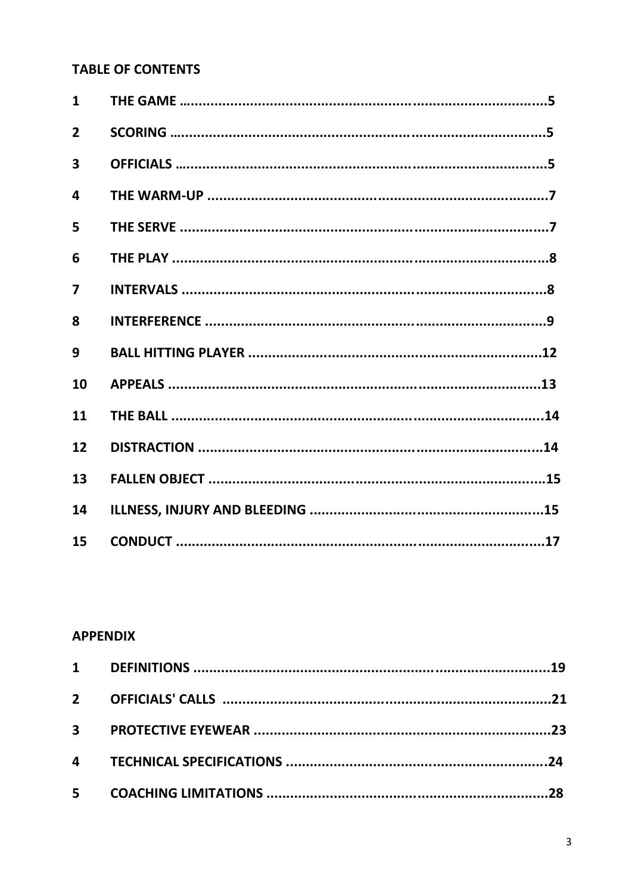# **TABLE OF CONTENTS**

| $\mathbf{1}$            |  |
|-------------------------|--|
| $\overline{2}$          |  |
| 3                       |  |
| $\overline{\mathbf{A}}$ |  |
| 5                       |  |
| 6                       |  |
| $\overline{\mathbf{z}}$ |  |
| 8                       |  |
| 9                       |  |
| 10                      |  |
| 11                      |  |
| 12                      |  |
| 13                      |  |
| 14                      |  |
| 15                      |  |

# **APPENDIX**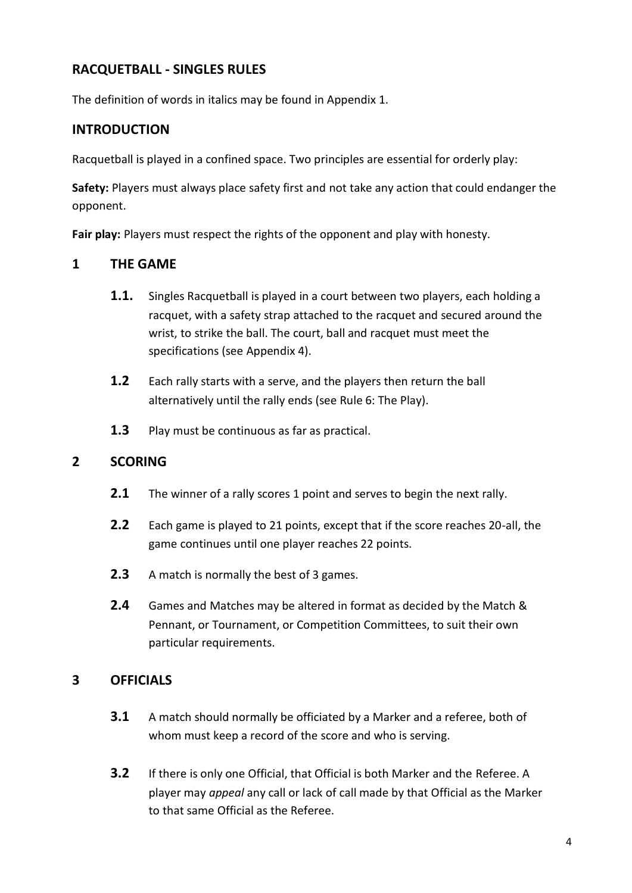# **RACQUETBALL - SINGLES RULES**

The definition of words in italics may be found in Appendix 1.

# **INTRODUCTION**

Racquetball is played in a confined space. Two principles are essential for orderly play:

**Safety:** Players must always place safety first and not take any action that could endanger the opponent.

**Fair play:** Players must respect the rights of the opponent and play with honesty.

## **1 THE GAME**

- **1.1.** Singles Racquetball is played in a court between two players, each holding a racquet, with a safety strap attached to the racquet and secured around the wrist, to strike the ball. The court, ball and racquet must meet the specifications (see Appendix 4).
- **1.2** Each rally starts with a serve, and the players then return the ball alternatively until the rally ends (see Rule 6: The Play).
- **1.3** Play must be continuous as far as practical.

# **2 SCORING**

- **2.1** The winner of a rally scores 1 point and serves to begin the next rally.
- **2.2** Each game is played to 21 points, except that if the score reaches 20-all, the game continues until one player reaches 22 points.
- **2.3** A match is normally the best of 3 games.
- **2.4** Games and Matches may be altered in format as decided by the Match & Pennant, or Tournament, or Competition Committees, to suit their own particular requirements.

# **3 OFFICIALS**

- **3.1** A match should normally be officiated by a Marker and a referee, both of whom must keep a record of the score and who is serving.
- **3.2** If there is only one Official, that Official is both Marker and the Referee. A player may *appeal* any call or lack of call made by that Official as the Marker to that same Official as the Referee.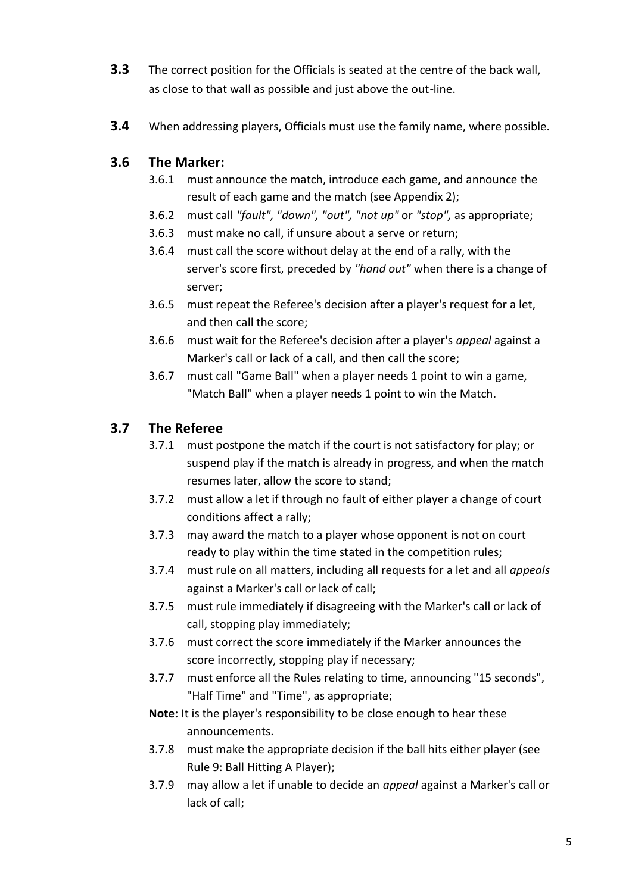- **3.3** The correct position for the Officials is seated at the centre of the back wall, as close to that wall as possible and just above the out-line.
- **3.4** When addressing players, Officials must use the family name, where possible.

## **3.6 The Marker:**

- 3.6.1 must announce the match, introduce each game, and announce the result of each game and the match (see Appendix 2);
- 3.6.2 must call *"fault", "down", "out", "not up"* or *"stop",* as appropriate;
- 3.6.3 must make no call, if unsure about a serve or return;
- 3.6.4 must call the score without delay at the end of a rally, with the server's score first, preceded by *"hand out"* when there is a change of server;
- 3.6.5 must repeat the Referee's decision after a player's request for a let, and then call the score;
- 3.6.6 must wait for the Referee's decision after a player's *appeal* against a Marker's call or lack of a call, and then call the score;
- 3.6.7 must call "Game Ball" when a player needs 1 point to win a game, "Match Ball" when a player needs 1 point to win the Match.

## **3.7 The Referee**

- 3.7.1 must postpone the match if the court is not satisfactory for play; or suspend play if the match is already in progress, and when the match resumes later, allow the score to stand;
- 3.7.2 must allow a let if through no fault of either player a change of court conditions affect a rally;
- 3.7.3 may award the match to a player whose opponent is not on court ready to play within the time stated in the competition rules;
- 3.7.4 must rule on all matters, including all requests for a let and all *appeals* against a Marker's call or lack of call;
- 3.7.5 must rule immediately if disagreeing with the Marker's call or lack of call, stopping play immediately;
- 3.7.6 must correct the score immediately if the Marker announces the score incorrectly, stopping play if necessary;
- 3.7.7 must enforce all the Rules relating to time, announcing "15 seconds", "Half Time" and "Time", as appropriate;
- **Note:** It is the player's responsibility to be close enough to hear these announcements.
- 3.7.8 must make the appropriate decision if the ball hits either player (see Rule 9: Ball Hitting A Player);
- 3.7.9 may allow a let if unable to decide an *appeal* against a Marker's call or lack of call;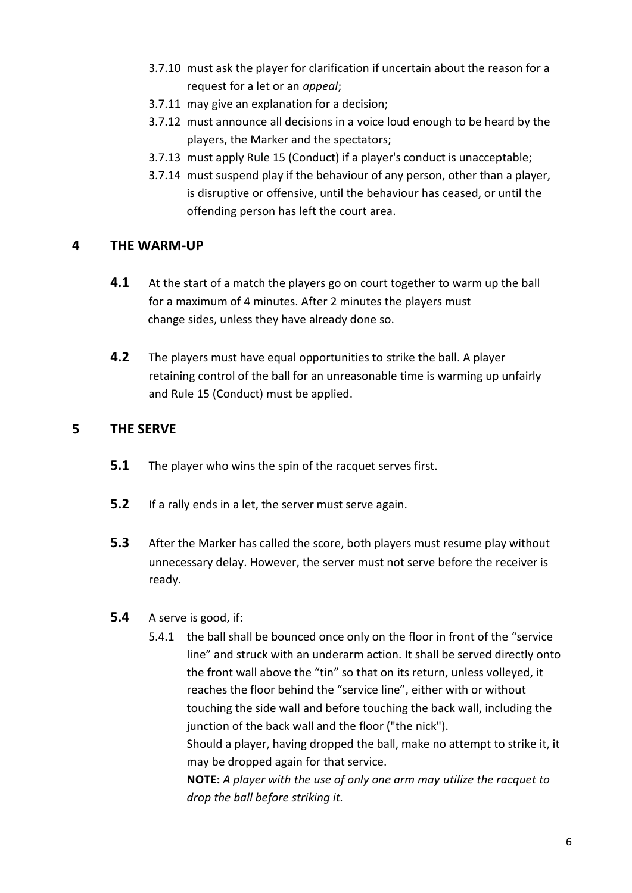- 3.7.10 must ask the player for clarification if uncertain about the reason for a request for a let or an *appeal*;
- 3.7.11 may give an explanation for a decision;
- 3.7.12 must announce all decisions in a voice loud enough to be heard by the players, the Marker and the spectators;
- 3.7.13 must apply Rule 15 (Conduct) if a player's conduct is unacceptable;
- 3.7.14 must suspend play if the behaviour of any person, other than a player, is disruptive or offensive, until the behaviour has ceased, or until the offending person has left the court area.

## **4 THE WARM-UP**

- **4.1** At the start of a match the players go on court together to warm up the ball for a maximum of 4 minutes. After 2 minutes the players must change sides, unless they have already done so.
- **4.2** The players must have equal opportunities to strike the ball. A player retaining control of the ball for an unreasonable time is warming up unfairly and Rule 15 (Conduct) must be applied.

## **5 THE SERVE**

- **5.1** The player who wins the spin of the racquet serves first.
- **5.2** If a rally ends in a let, the server must serve again.
- **5.3** After the Marker has called the score, both players must resume play without unnecessary delay. However, the server must not serve before the receiver is ready.
- **5.4** A serve is good, if:
	- 5.4.1 the ball shall be bounced once only on the floor in front of the "service line" and struck with an underarm action. It shall be served directly onto the front wall above the "tin" so that on its return, unless volleyed, it reaches the floor behind the "service line", either with or without touching the side wall and before touching the back wall, including the junction of the back wall and the floor ("the nick"). Should a player, having dropped the ball, make no attempt to strike it, it may be dropped again for that service. **NOTE:** *A player with the use of only one arm may utilize the racquet to drop the ball before striking it.*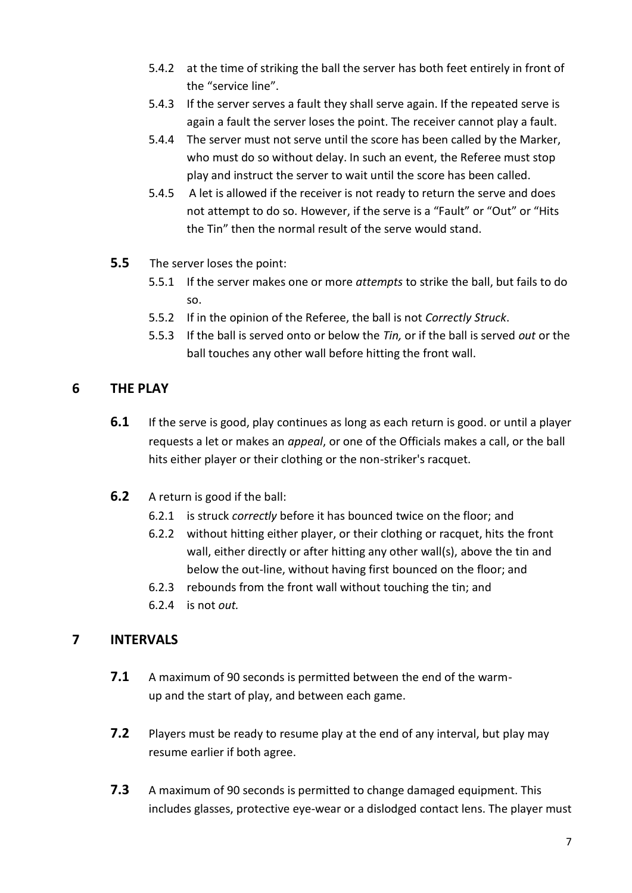- 5.4.2 at the time of striking the ball the server has both feet entirely in front of the "service line".
- 5.4.3 If the server serves a fault they shall serve again. If the repeated serve is again a fault the server loses the point. The receiver cannot play a fault.
- 5.4.4 The server must not serve until the score has been called by the Marker, who must do so without delay. In such an event, the Referee must stop play and instruct the server to wait until the score has been called.
- 5.4.5 A let is allowed if the receiver is not ready to return the serve and does not attempt to do so. However, if the serve is a "Fault" or "Out" or "Hits the Tin" then the normal result of the serve would stand.
- **5.5** The server loses the point:
	- 5.5.1 If the server makes one or more *attempts* to strike the ball, but fails to do so.
	- 5.5.2 If in the opinion of the Referee, the ball is not *Correctly Struck*.
	- 5.5.3 If the ball is served onto or below the *Tin,* or if the ball is served *out* or the ball touches any other wall before hitting the front wall.

## **6 THE PLAY**

- **6.1** If the serve is good, play continues as long as each return is good. or until a player requests a let or makes an *appeal*, or one of the Officials makes a call, or the ball hits either player or their clothing or the non-striker's racquet.
- **6.2** A return is good if the ball:
	- 6.2.1 is struck *correctly* before it has bounced twice on the floor; and
	- 6.2.2 without hitting either player, or their clothing or racquet, hits the front wall, either directly or after hitting any other wall(s), above the tin and below the out-line, without having first bounced on the floor; and
	- 6.2.3 rebounds from the front wall without touching the tin; and
	- 6.2.4 is not *out.*

# **7 INTERVALS**

- **7.1** A maximum of 90 seconds is permitted between the end of the warmup and the start of play, and between each game.
- **7.2** Players must be ready to resume play at the end of any interval, but play may resume earlier if both agree.
- **7.3** A maximum of 90 seconds is permitted to change damaged equipment. This includes glasses, protective eye-wear or a dislodged contact lens. The player must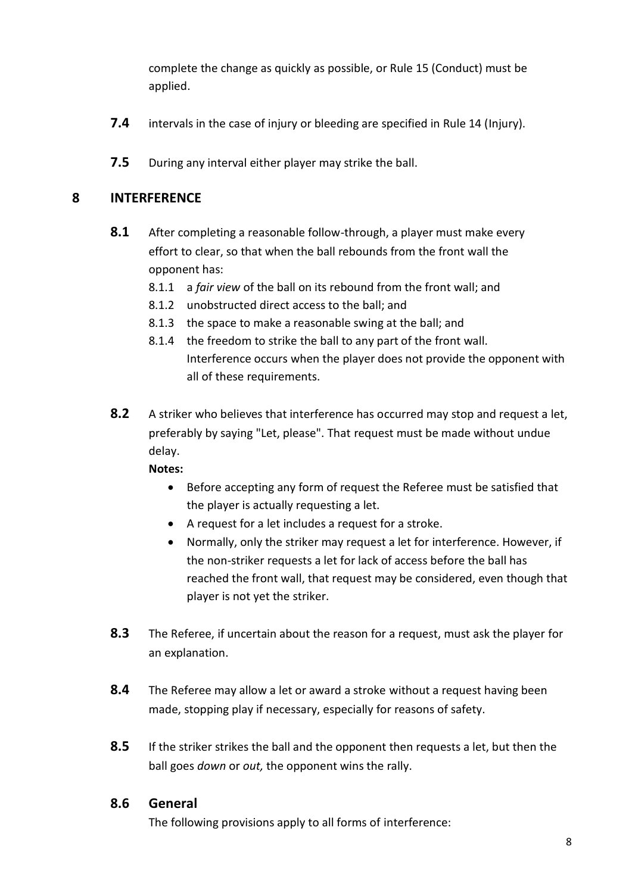complete the change as quickly as possible, or Rule 15 (Conduct) must be applied.

- **7.4** intervals in the case of injury or bleeding are specified in Rule 14 (Injury).
- **7.5** During any interval either player may strike the ball.

## **8 INTERFERENCE**

- **8.1** After completing a reasonable follow-through, a player must make every effort to clear, so that when the ball rebounds from the front wall the opponent has:
	- 8.1.1 a *fair view* of the ball on its rebound from the front wall; and
	- 8.1.2 unobstructed direct access to the ball; and
	- 8.1.3 the space to make a reasonable swing at the ball; and
	- 8.1.4 the freedom to strike the ball to any part of the front wall. Interference occurs when the player does not provide the opponent with all of these requirements.
- **8.2** A striker who believes that interference has occurred may stop and request a let, preferably by saying "Let, please". That request must be made without undue delay.

#### **Notes:**

- Before accepting any form of request the Referee must be satisfied that the player is actually requesting a let.
- A request for a let includes a request for a stroke.
- Normally, only the striker may request a let for interference. However, if the non-striker requests a let for lack of access before the ball has reached the front wall, that request may be considered, even though that player is not yet the striker.
- **8.3** The Referee, if uncertain about the reason for a request, must ask the player for an explanation.
- **8.4** The Referee may allow a let or award a stroke without a request having been made, stopping play if necessary, especially for reasons of safety.
- **8.5** If the striker strikes the ball and the opponent then requests a let, but then the ball goes *down* or *out,* the opponent wins the rally.

## **8.6 General**

The following provisions apply to all forms of interference: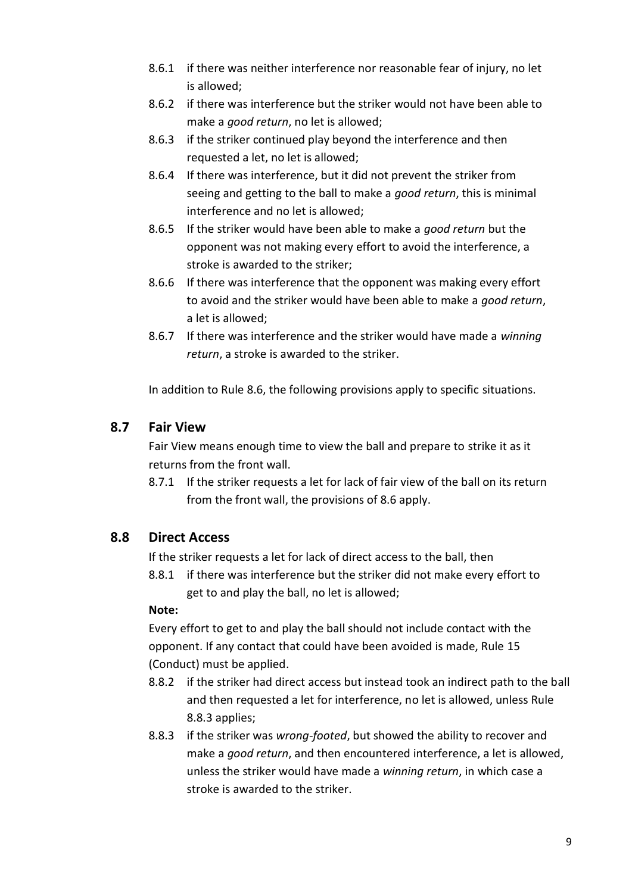- 8.6.1 if there was neither interference nor reasonable fear of injury, no let is allowed;
- 8.6.2 if there was interference but the striker would not have been able to make a *good return*, no let is allowed;
- 8.6.3 if the striker continued play beyond the interference and then requested a let, no let is allowed;
- 8.6.4 If there was interference, but it did not prevent the striker from seeing and getting to the ball to make a *good return*, this is minimal interference and no let is allowed;
- 8.6.5 If the striker would have been able to make a *good return* but the opponent was not making every effort to avoid the interference, a stroke is awarded to the striker;
- 8.6.6 If there was interference that the opponent was making every effort to avoid and the striker would have been able to make a *good return*, a let is allowed;
- 8.6.7 If there was interference and the striker would have made a *winning return*, a stroke is awarded to the striker.

In addition to Rule 8.6, the following provisions apply to specific situations.

## **8.7 Fair View**

Fair View means enough time to view the ball and prepare to strike it as it returns from the front wall.

8.7.1 If the striker requests a let for lack of fair view of the ball on its return from the front wall, the provisions of 8.6 apply.

# **8.8 Direct Access**

If the striker requests a let for lack of direct access to the ball, then

8.8.1 if there was interference but the striker did not make every effort to get to and play the ball, no let is allowed;

## **Note:**

Every effort to get to and play the ball should not include contact with the opponent. If any contact that could have been avoided is made, Rule 15 (Conduct) must be applied.

- 8.8.2 if the striker had direct access but instead took an indirect path to the ball and then requested a let for interference, no let is allowed, unless Rule 8.8.3 applies;
- 8.8.3 if the striker was *wrong-footed*, but showed the ability to recover and make a *good return*, and then encountered interference, a let is allowed, unless the striker would have made a *winning return*, in which case a stroke is awarded to the striker.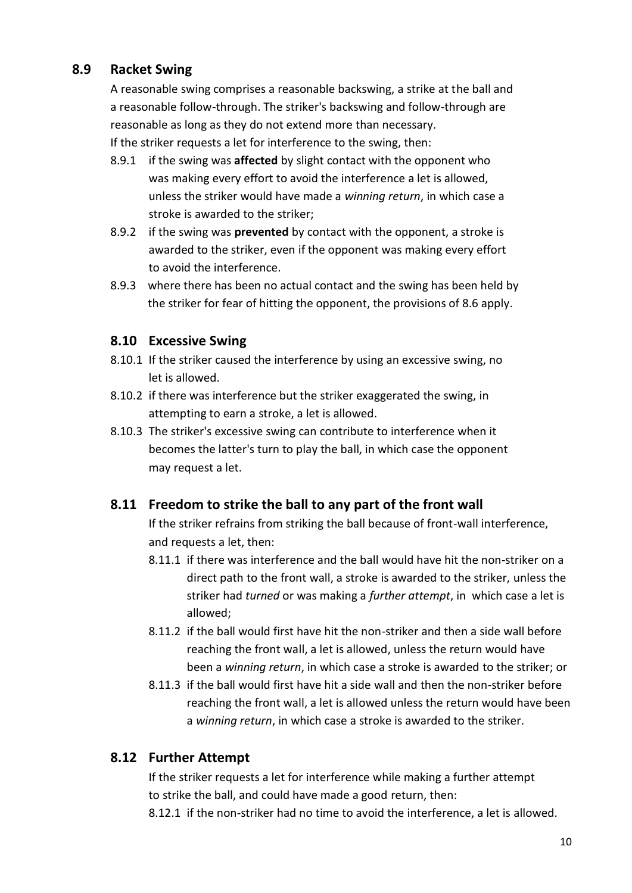# **8.9 Racket Swing**

A reasonable swing comprises a reasonable backswing, a strike at the ball and a reasonable follow-through. The striker's backswing and follow-through are reasonable as long as they do not extend more than necessary. If the striker requests a let for interference to the swing, then:

8.9.1 if the swing was **affected** by slight contact with the opponent who was making every effort to avoid the interference a let is allowed, unless the striker would have made a *winning return*, in which case a stroke is awarded to the striker;

- 8.9.2 if the swing was **prevented** by contact with the opponent, a stroke is awarded to the striker, even if the opponent was making every effort to avoid the interference.
- 8.9.3 where there has been no actual contact and the swing has been held by the striker for fear of hitting the opponent, the provisions of 8.6 apply.

# **8.10 Excessive Swing**

- 8.10.1 If the striker caused the interference by using an excessive swing, no let is allowed.
- 8.10.2 if there was interference but the striker exaggerated the swing, in attempting to earn a stroke, a let is allowed.
- 8.10.3 The striker's excessive swing can contribute to interference when it becomes the latter's turn to play the ball, in which case the opponent may request a let.

# **8.11 Freedom to strike the ball to any part of the front wall**

If the striker refrains from striking the ball because of front-wall interference, and requests a let, then:

- 8.11.1 if there was interference and the ball would have hit the non-striker on a direct path to the front wall, a stroke is awarded to the striker, unless the striker had *turned* or was making a *further attempt*, in which case a let is allowed;
- 8.11.2 if the ball would first have hit the non-striker and then a side wall before reaching the front wall, a let is allowed, unless the return would have been a *winning return*, in which case a stroke is awarded to the striker; or
- 8.11.3 if the ball would first have hit a side wall and then the non-striker before reaching the front wall, a let is allowed unless the return would have been a *winning return*, in which case a stroke is awarded to the striker.

# **8.12 Further Attempt**

If the striker requests a let for interference while making a further attempt to strike the ball, and could have made a good return, then:

8.12.1 if the non-striker had no time to avoid the interference, a let is allowed.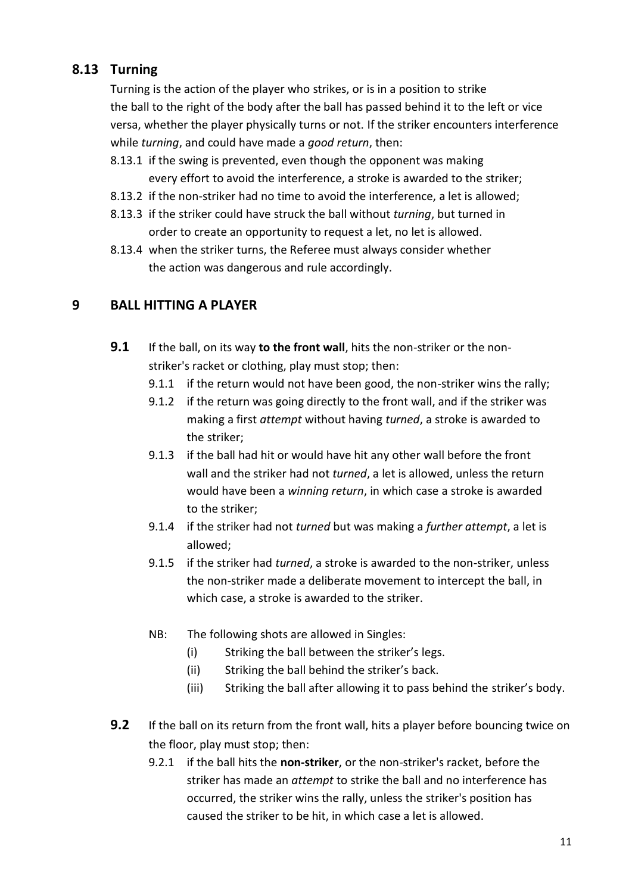# **8.13 Turning**

Turning is the action of the player who strikes, or is in a position to strike the ball to the right of the body after the ball has passed behind it to the left or vice versa, whether the player physically turns or not. If the striker encounters interference while *turning*, and could have made a *good return*, then:

- 8.13.1 if the swing is prevented, even though the opponent was making every effort to avoid the interference, a stroke is awarded to the striker;
- 8.13.2 if the non-striker had no time to avoid the interference, a let is allowed;
- 8.13.3 if the striker could have struck the ball without *turning*, but turned in order to create an opportunity to request a let, no let is allowed.
- 8.13.4 when the striker turns, the Referee must always consider whether the action was dangerous and rule accordingly.

# **9 BALL HITTING A PLAYER**

- **9.1** If the ball, on its way **to the front wall**, hits the non-striker or the nonstriker's racket or clothing, play must stop; then:
	- 9.1.1 if the return would not have been good, the non-striker wins the rally;
	- 9.1.2 if the return was going directly to the front wall, and if the striker was making a first *attempt* without having *turned*, a stroke is awarded to the striker;
	- 9.1.3 if the ball had hit or would have hit any other wall before the front wall and the striker had not *turned*, a let is allowed, unless the return would have been a *winning return*, in which case a stroke is awarded to the striker;
	- 9.1.4 if the striker had not *turned* but was making a *further attempt*, a let is allowed;
	- 9.1.5 if the striker had *turned*, a stroke is awarded to the non-striker, unless the non-striker made a deliberate movement to intercept the ball, in which case, a stroke is awarded to the striker.
	- NB: The following shots are allowed in Singles:
		- (i) Striking the ball between the striker's legs.
		- (ii) Striking the ball behind the striker's back.
		- (iii) Striking the ball after allowing it to pass behind the striker's body.
- **9.2** If the ball on its return from the front wall, hits a player before bouncing twice on the floor, play must stop; then:
	- 9.2.1 if the ball hits the **non-striker**, or the non-striker's racket, before the striker has made an *attempt* to strike the ball and no interference has occurred, the striker wins the rally, unless the striker's position has caused the striker to be hit, in which case a let is allowed.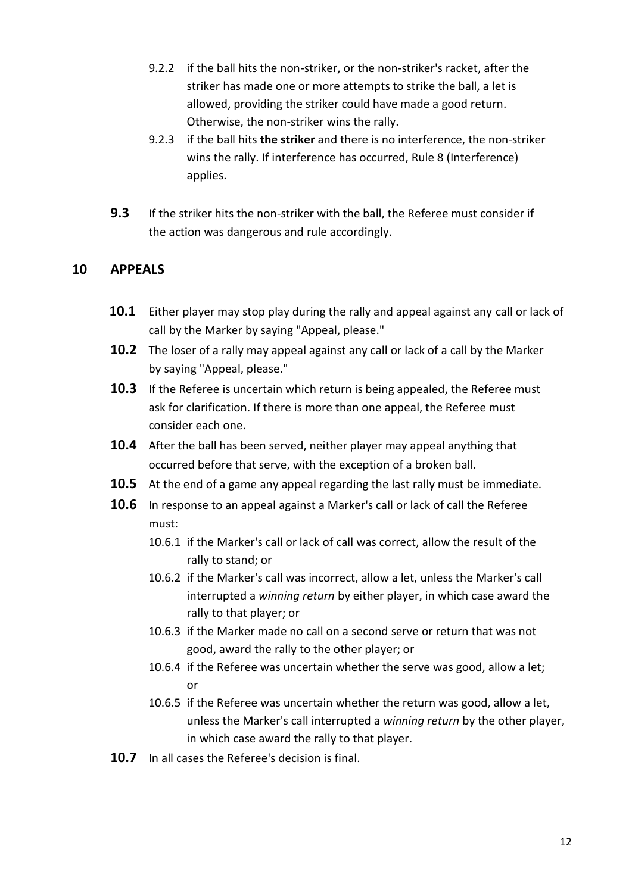- 9.2.2 if the ball hits the non-striker, or the non-striker's racket, after the striker has made one or more attempts to strike the ball, a let is allowed, providing the striker could have made a good return. Otherwise, the non-striker wins the rally.
- 9.2.3 if the ball hits **the striker** and there is no interference, the non-striker wins the rally. If interference has occurred, Rule 8 (Interference) applies.
- **9.3** If the striker hits the non-striker with the ball, the Referee must consider if the action was dangerous and rule accordingly.

## **10 APPEALS**

- **10.1** Either player may stop play during the rally and appeal against any call or lack of call by the Marker by saying "Appeal, please."
- **10.2** The loser of a rally may appeal against any call or lack of a call by the Marker by saying "Appeal, please."
- **10.3** If the Referee is uncertain which return is being appealed, the Referee must ask for clarification. If there is more than one appeal, the Referee must consider each one.
- **10.4** After the ball has been served, neither player may appeal anything that occurred before that serve, with the exception of a broken ball.
- **10.5** At the end of a game any appeal regarding the last rally must be immediate.
- **10.6** In response to an appeal against a Marker's call or lack of call the Referee must:
	- 10.6.1 if the Marker's call or lack of call was correct, allow the result of the rally to stand; or
	- 10.6.2 if the Marker's call was incorrect, allow a let, unless the Marker's call interrupted a *winning return* by either player, in which case award the rally to that player; or
	- 10.6.3 if the Marker made no call on a second serve or return that was not good, award the rally to the other player; or
	- 10.6.4 if the Referee was uncertain whether the serve was good, allow a let; or
	- 10.6.5 if the Referee was uncertain whether the return was good, allow a let, unless the Marker's call interrupted a *winning return* by the other player, in which case award the rally to that player.
- **10.7** In all cases the Referee's decision is final.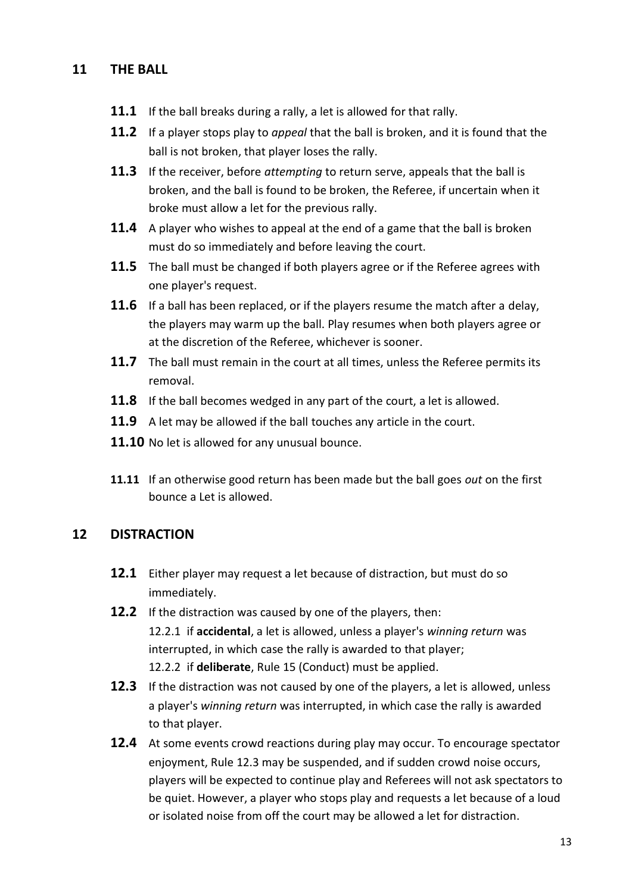## **11 THE BALL**

- **11.1** If the ball breaks during a rally, a let is allowed for that rally.
- **11.2** If a player stops play to *appeal* that the ball is broken, and it is found that the ball is not broken, that player loses the rally.
- **11.3** If the receiver, before *attempting* to return serve, appeals that the ball is broken, and the ball is found to be broken, the Referee, if uncertain when it broke must allow a let for the previous rally.
- **11.4** A player who wishes to appeal at the end of a game that the ball is broken must do so immediately and before leaving the court.
- **11.5** The ball must be changed if both players agree or if the Referee agrees with one player's request.
- **11.6** If a ball has been replaced, or if the players resume the match after a delay, the players may warm up the ball. Play resumes when both players agree or at the discretion of the Referee, whichever is sooner.
- **11.7** The ball must remain in the court at all times, unless the Referee permits its removal.
- **11.8** If the ball becomes wedged in any part of the court, a let is allowed.
- **11.9** A let may be allowed if the ball touches any article in the court.
- **11.10** No let is allowed for any unusual bounce.
- **11.11** If an otherwise good return has been made but the ball goes *out* on the first bounce a Let is allowed.

## **12 DISTRACTION**

- **12.1** Either player may request a let because of distraction, but must do so immediately.
- **12.2** If the distraction was caused by one of the players, then: 12.2.1 if **accidental**, a let is allowed, unless a player's *winning return* was interrupted, in which case the rally is awarded to that player; 12.2.2 if **deliberate**, Rule 15 (Conduct) must be applied.
- **12.3** If the distraction was not caused by one of the players, a let is allowed, unless a player's *winning return* was interrupted, in which case the rally is awarded to that player.
- **12.4** At some events crowd reactions during play may occur. To encourage spectator enjoyment, Rule 12.3 may be suspended, and if sudden crowd noise occurs, players will be expected to continue play and Referees will not ask spectators to be quiet. However, a player who stops play and requests a let because of a loud or isolated noise from off the court may be allowed a let for distraction.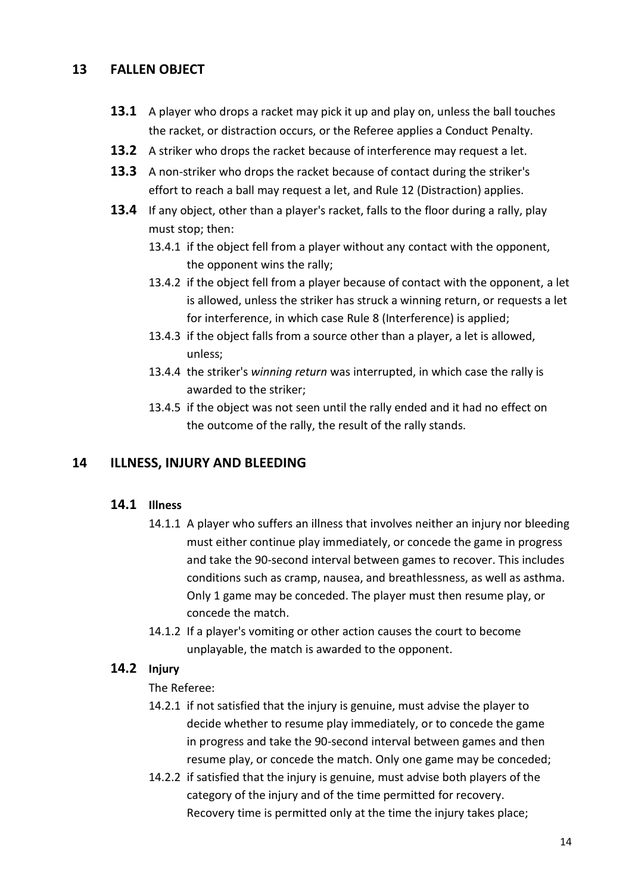## **13 FALLEN OBJECT**

- **13.1** A player who drops a racket may pick it up and play on, unless the ball touches the racket, or distraction occurs, or the Referee applies a Conduct Penalty.
- **13.2** A striker who drops the racket because of interference may request a let.
- **13.3** A non-striker who drops the racket because of contact during the striker's effort to reach a ball may request a let, and Rule 12 (Distraction) applies.
- **13.4** If any object, other than a player's racket, falls to the floor during a rally, play must stop; then:
	- 13.4.1 if the object fell from a player without any contact with the opponent, the opponent wins the rally;
	- 13.4.2 if the object fell from a player because of contact with the opponent, a let is allowed, unless the striker has struck a winning return, or requests a let for interference, in which case Rule 8 (Interference) is applied;
	- 13.4.3 if the object falls from a source other than a player, a let is allowed, unless;
	- 13.4.4 the striker's *winning return* was interrupted, in which case the rally is awarded to the striker;
	- 13.4.5 if the object was not seen until the rally ended and it had no effect on the outcome of the rally, the result of the rally stands.

## **14 ILLNESS, INJURY AND BLEEDING**

## **14.1 Illness**

- 14.1.1 A player who suffers an illness that involves neither an injury nor bleeding must either continue play immediately, or concede the game in progress and take the 90-second interval between games to recover. This includes conditions such as cramp, nausea, and breathlessness, as well as asthma. Only 1 game may be conceded. The player must then resume play, or concede the match.
- 14.1.2 If a player's vomiting or other action causes the court to become unplayable, the match is awarded to the opponent.

## **14.2 Injury**

#### The Referee:

- 14.2.1 if not satisfied that the injury is genuine, must advise the player to decide whether to resume play immediately, or to concede the game in progress and take the 90-second interval between games and then resume play, or concede the match. Only one game may be conceded;
- 14.2.2 if satisfied that the injury is genuine, must advise both players of the category of the injury and of the time permitted for recovery. Recovery time is permitted only at the time the injury takes place;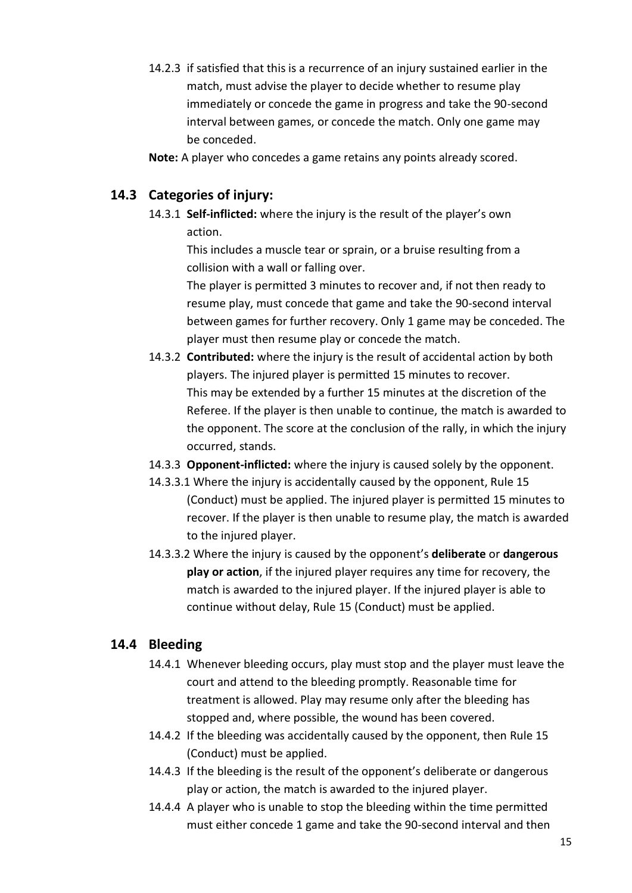14.2.3 if satisfied that this is a recurrence of an injury sustained earlier in the match, must advise the player to decide whether to resume play immediately or concede the game in progress and take the 90-second interval between games, or concede the match. Only one game may be conceded.

**Note:** A player who concedes a game retains any points already scored.

# **14.3 Categories of injury:**

14.3.1 **Self-inflicted:** where the injury is the result of the player's own action.

> This includes a muscle tear or sprain, or a bruise resulting from a collision with a wall or falling over.

The player is permitted 3 minutes to recover and, if not then ready to resume play, must concede that game and take the 90-second interval between games for further recovery. Only 1 game may be conceded. The player must then resume play or concede the match.

- 14.3.2 **Contributed:** where the injury is the result of accidental action by both players. The injured player is permitted 15 minutes to recover. This may be extended by a further 15 minutes at the discretion of the Referee. If the player is then unable to continue, the match is awarded to the opponent. The score at the conclusion of the rally, in which the injury occurred, stands.
- 14.3.3 **Opponent-inflicted:** where the injury is caused solely by the opponent.
- 14.3.3.1 Where the injury is accidentally caused by the opponent, Rule 15 (Conduct) must be applied. The injured player is permitted 15 minutes to recover. If the player is then unable to resume play, the match is awarded to the injured player.
- 14.3.3.2 Where the injury is caused by the opponent's **deliberate** or **dangerous play or action**, if the injured player requires any time for recovery, the match is awarded to the injured player. If the injured player is able to continue without delay, Rule 15 (Conduct) must be applied.

# **14.4 Bleeding**

- 14.4.1 Whenever bleeding occurs, play must stop and the player must leave the court and attend to the bleeding promptly. Reasonable time for treatment is allowed. Play may resume only after the bleeding has stopped and, where possible, the wound has been covered.
- 14.4.2 If the bleeding was accidentally caused by the opponent, then Rule 15 (Conduct) must be applied.
- 14.4.3 If the bleeding is the result of the opponent's deliberate or dangerous play or action, the match is awarded to the injured player.
- 14.4.4 A player who is unable to stop the bleeding within the time permitted must either concede 1 game and take the 90-second interval and then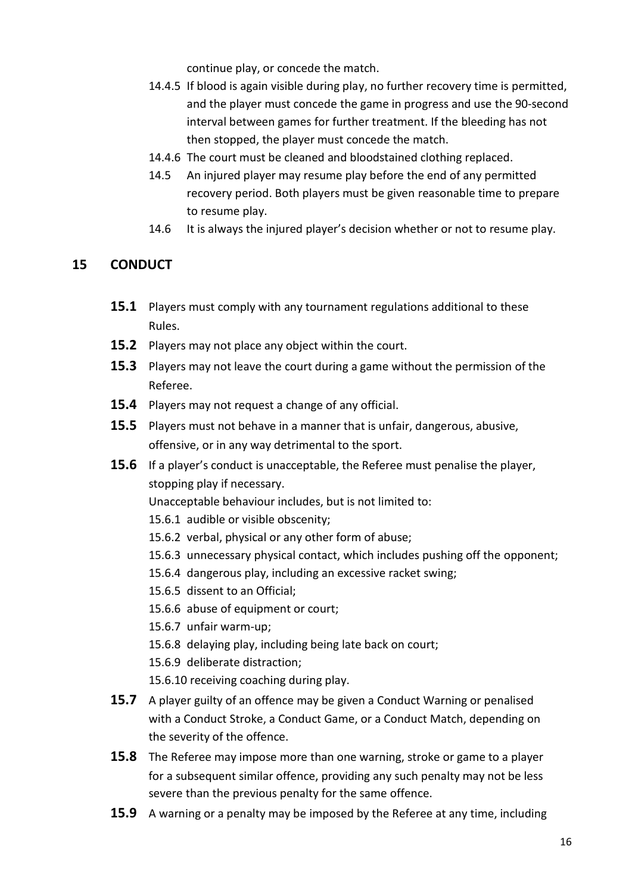continue play, or concede the match.

- 14.4.5 If blood is again visible during play, no further recovery time is permitted, and the player must concede the game in progress and use the 90-second interval between games for further treatment. If the bleeding has not then stopped, the player must concede the match.
- 14.4.6 The court must be cleaned and bloodstained clothing replaced.
- 14.5 An injured player may resume play before the end of any permitted recovery period. Both players must be given reasonable time to prepare to resume play.
- 14.6 It is always the injured player's decision whether or not to resume play.

## **15 CONDUCT**

- **15.1** Players must comply with any tournament regulations additional to these Rules.
- **15.2** Players may not place any object within the court.
- **15.3** Players may not leave the court during a game without the permission of the Referee.
- **15.4** Players may not request a change of any official.
- **15.5** Players must not behave in a manner that is unfair, dangerous, abusive, offensive, or in any way detrimental to the sport.
- **15.6** If a player's conduct is unacceptable, the Referee must penalise the player, stopping play if necessary.
	- Unacceptable behaviour includes, but is not limited to:
	- 15.6.1 audible or visible obscenity;
	- 15.6.2 verbal, physical or any other form of abuse;
	- 15.6.3 unnecessary physical contact, which includes pushing off the opponent;
	- 15.6.4 dangerous play, including an excessive racket swing;
	- 15.6.5 dissent to an Official;
	- 15.6.6 abuse of equipment or court;
	- 15.6.7 unfair warm-up;
	- 15.6.8 delaying play, including being late back on court;
	- 15.6.9 deliberate distraction;
	- 15.6.10 receiving coaching during play.
- **15.7** A player guilty of an offence may be given a Conduct Warning or penalised with a Conduct Stroke, a Conduct Game, or a Conduct Match, depending on the severity of the offence.
- **15.8** The Referee may impose more than one warning, stroke or game to a player for a subsequent similar offence, providing any such penalty may not be less severe than the previous penalty for the same offence.
- **15.9** A warning or a penalty may be imposed by the Referee at any time, including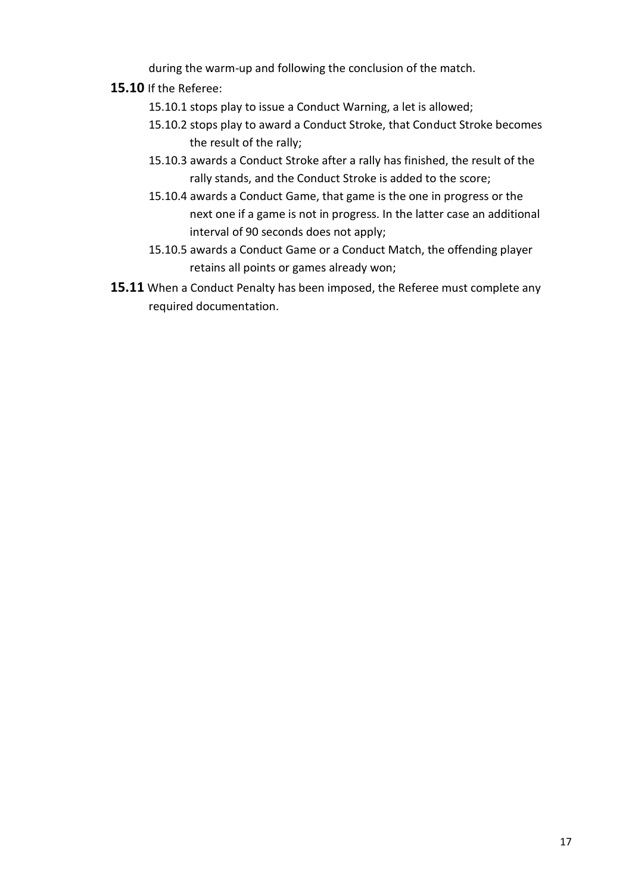during the warm-up and following the conclusion of the match.

- **15.10** If the Referee:
	- 15.10.1 stops play to issue a Conduct Warning, a let is allowed;
	- 15.10.2 stops play to award a Conduct Stroke, that Conduct Stroke becomes the result of the rally;
	- 15.10.3 awards a Conduct Stroke after a rally has finished, the result of the rally stands, and the Conduct Stroke is added to the score;
	- 15.10.4 awards a Conduct Game, that game is the one in progress or the next one if a game is not in progress. In the latter case an additional interval of 90 seconds does not apply;
	- 15.10.5 awards a Conduct Game or a Conduct Match, the offending player retains all points or games already won;
- **15.11** When a Conduct Penalty has been imposed, the Referee must complete any required documentation.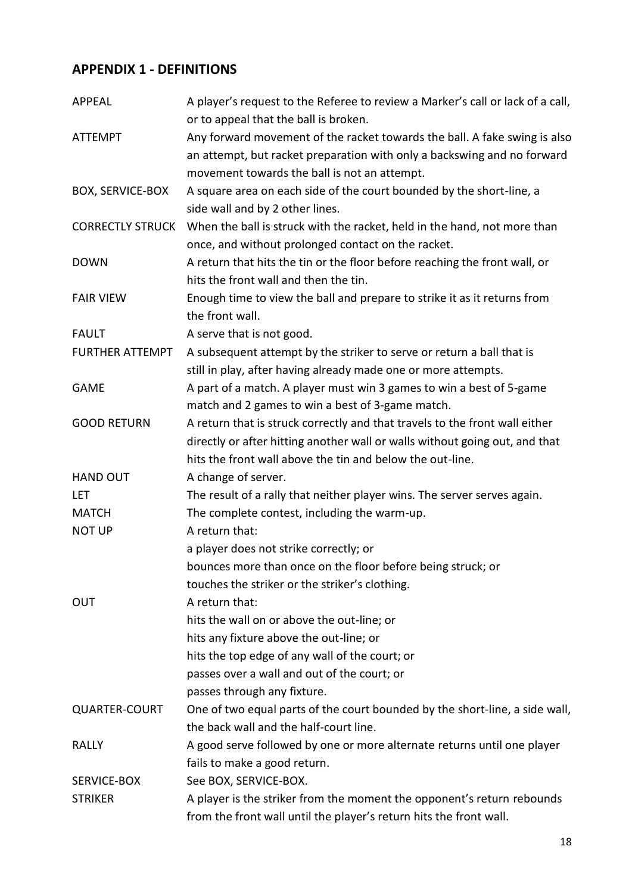# **APPENDIX 1 - DEFINITIONS**

| <b>APPEAL</b>           | A player's request to the Referee to review a Marker's call or lack of a call,<br>or to appeal that the ball is broken. |
|-------------------------|-------------------------------------------------------------------------------------------------------------------------|
| <b>ATTEMPT</b>          | Any forward movement of the racket towards the ball. A fake swing is also                                               |
|                         | an attempt, but racket preparation with only a backswing and no forward                                                 |
|                         |                                                                                                                         |
|                         | movement towards the ball is not an attempt.                                                                            |
| <b>BOX, SERVICE-BOX</b> | A square area on each side of the court bounded by the short-line, a<br>side wall and by 2 other lines.                 |
| <b>CORRECTLY STRUCK</b> | When the ball is struck with the racket, held in the hand, not more than                                                |
|                         | once, and without prolonged contact on the racket.                                                                      |
| <b>DOWN</b>             | A return that hits the tin or the floor before reaching the front wall, or                                              |
|                         | hits the front wall and then the tin.                                                                                   |
| <b>FAIR VIEW</b>        | Enough time to view the ball and prepare to strike it as it returns from                                                |
|                         | the front wall.                                                                                                         |
| <b>FAULT</b>            | A serve that is not good.                                                                                               |
| <b>FURTHER ATTEMPT</b>  | A subsequent attempt by the striker to serve or return a ball that is                                                   |
|                         | still in play, after having already made one or more attempts.                                                          |
| <b>GAME</b>             | A part of a match. A player must win 3 games to win a best of 5-game                                                    |
|                         | match and 2 games to win a best of 3-game match.                                                                        |
| <b>GOOD RETURN</b>      | A return that is struck correctly and that travels to the front wall either                                             |
|                         | directly or after hitting another wall or walls without going out, and that                                             |
|                         | hits the front wall above the tin and below the out-line.                                                               |
| <b>HAND OUT</b>         | A change of server.                                                                                                     |
| <b>LET</b>              | The result of a rally that neither player wins. The server serves again.                                                |
| <b>MATCH</b>            | The complete contest, including the warm-up.                                                                            |
| <b>NOT UP</b>           | A return that:                                                                                                          |
|                         | a player does not strike correctly; or                                                                                  |
|                         | bounces more than once on the floor before being struck; or                                                             |
|                         | touches the striker or the striker's clothing.                                                                          |
| <b>OUT</b>              | A return that:                                                                                                          |
|                         | hits the wall on or above the out-line; or                                                                              |
|                         | hits any fixture above the out-line; or                                                                                 |
|                         | hits the top edge of any wall of the court; or                                                                          |
|                         | passes over a wall and out of the court; or                                                                             |
|                         | passes through any fixture.                                                                                             |
| <b>QUARTER-COURT</b>    | One of two equal parts of the court bounded by the short-line, a side wall,                                             |
|                         | the back wall and the half-court line.                                                                                  |
| <b>RALLY</b>            | A good serve followed by one or more alternate returns until one player                                                 |
|                         | fails to make a good return.                                                                                            |
| SERVICE-BOX             | See BOX, SERVICE-BOX.                                                                                                   |
| <b>STRIKER</b>          | A player is the striker from the moment the opponent's return rebounds                                                  |
|                         | from the front wall until the player's return hits the front wall.                                                      |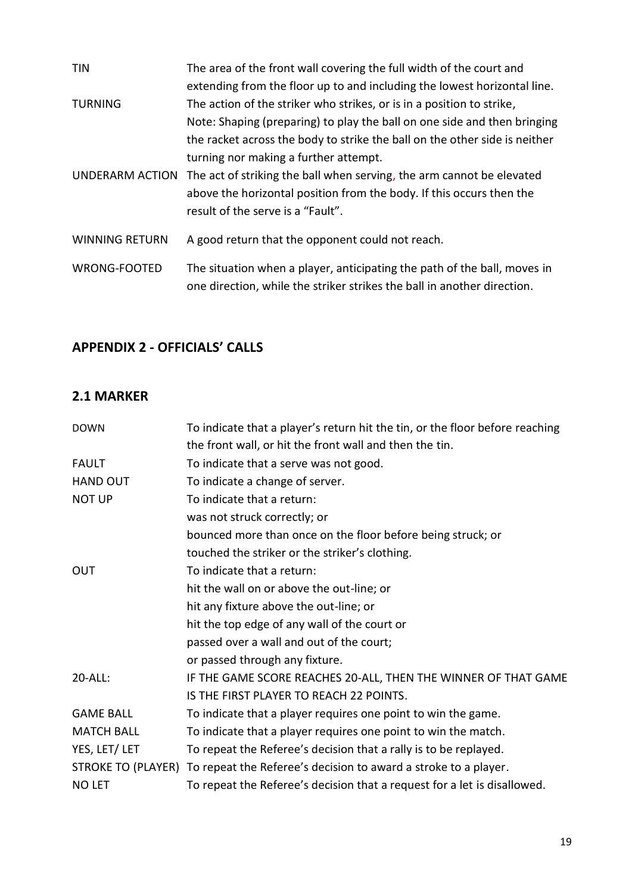| <b>TIN</b>            | The area of the front wall covering the full width of the court and                                                                                 |
|-----------------------|-----------------------------------------------------------------------------------------------------------------------------------------------------|
|                       | extending from the floor up to and including the lowest horizontal line.                                                                            |
| <b>TURNING</b>        | The action of the striker who strikes, or is in a position to strike,                                                                               |
|                       | Note: Shaping (preparing) to play the ball on one side and then bringing                                                                            |
|                       | the racket across the body to strike the ball on the other side is neither                                                                          |
|                       | turning nor making a further attempt.                                                                                                               |
| UNDERARM ACTION       | The act of striking the ball when serving, the arm cannot be elevated                                                                               |
|                       | above the horizontal position from the body. If this occurs then the                                                                                |
|                       | result of the serve is a "Fault".                                                                                                                   |
| <b>WINNING RETURN</b> | A good return that the opponent could not reach.                                                                                                    |
| <b>WRONG-FOOTED</b>   | The situation when a player, anticipating the path of the ball, moves in<br>one direction, while the striker strikes the ball in another direction. |

# **APPENDIX 2 - OFFICIALS' CALLS**

# **2.1 MARKER**

| <b>DOWN</b>       | To indicate that a player's return hit the tin, or the floor before reaching       |
|-------------------|------------------------------------------------------------------------------------|
|                   | the front wall, or hit the front wall and then the tin.                            |
| <b>FAULT</b>      | To indicate that a serve was not good.                                             |
| <b>HAND OUT</b>   | To indicate a change of server.                                                    |
| <b>NOT UP</b>     | To indicate that a return:                                                         |
|                   | was not struck correctly; or                                                       |
|                   | bounced more than once on the floor before being struck; or                        |
|                   | touched the striker or the striker's clothing.                                     |
| <b>OUT</b>        | To indicate that a return:                                                         |
|                   | hit the wall on or above the out-line; or                                          |
|                   | hit any fixture above the out-line; or                                             |
|                   | hit the top edge of any wall of the court or                                       |
|                   | passed over a wall and out of the court;                                           |
|                   | or passed through any fixture.                                                     |
| 20-ALL:           | IF THE GAME SCORE REACHES 20-ALL, THEN THE WINNER OF THAT GAME                     |
|                   | IS THE FIRST PLAYER TO REACH 22 POINTS.                                            |
| <b>GAME BALL</b>  | To indicate that a player requires one point to win the game.                      |
| <b>MATCH BALL</b> | To indicate that a player requires one point to win the match.                     |
| YES, LET/ LET     | To repeat the Referee's decision that a rally is to be replayed.                   |
|                   | STROKE TO (PLAYER) To repeat the Referee's decision to award a stroke to a player. |
| <b>NO LET</b>     | To repeat the Referee's decision that a request for a let is disallowed.           |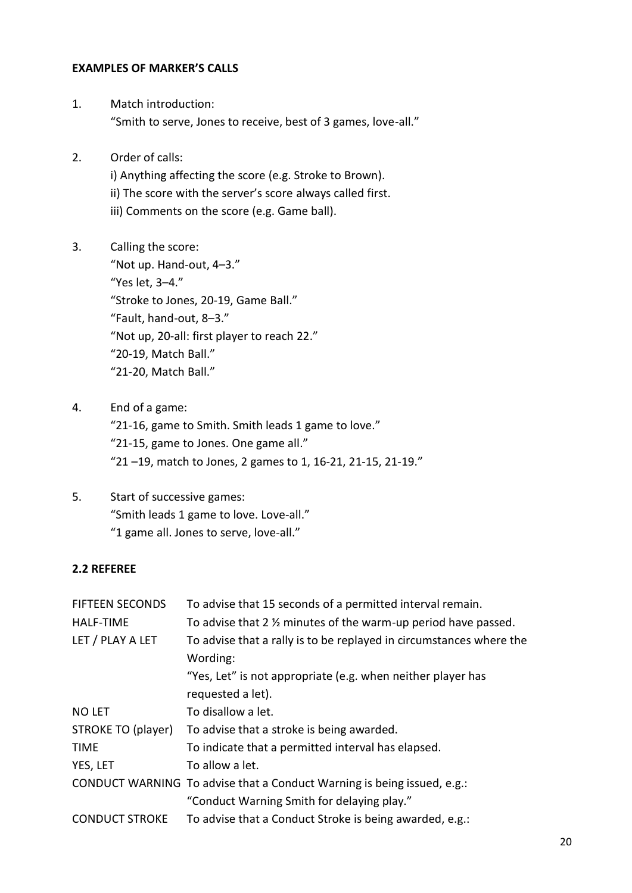#### **EXAMPLES OF MARKER'S CALLS**

- 1. Match introduction: "Smith to serve, Jones to receive, best of 3 games, love-all."
- 2. Order of calls:
	- i) Anything affecting the score (e.g. Stroke to Brown). ii) The score with the server's score always called first. iii) Comments on the score (e.g. Game ball).
- 3. Calling the score: "Not up. Hand-out, 4–3." "Yes let, 3–4." "Stroke to Jones, 20-19, Game Ball." "Fault, hand-out, 8–3." "Not up, 20-all: first player to reach 22." "20-19, Match Ball." "21-20, Match Ball."
- 4. End of a game: "21-16, game to Smith. Smith leads 1 game to love." "21-15, game to Jones. One game all." "21 –19, match to Jones, 2 games to 1, 16-21, 21-15, 21-19."
- 5. Start of successive games: "Smith leads 1 game to love. Love-all." "1 game all. Jones to serve, love-all."

## **2.2 REFEREE**

| <b>FIFTEEN SECONDS</b><br><b>HALF-TIME</b> | To advise that 15 seconds of a permitted interval remain.<br>To advise that 2 % minutes of the warm-up period have passed. |
|--------------------------------------------|----------------------------------------------------------------------------------------------------------------------------|
| LET / PLAY A LET                           | To advise that a rally is to be replayed in circumstances where the<br>Wording:                                            |
|                                            | "Yes, Let" is not appropriate (e.g. when neither player has<br>requested a let).                                           |
| <b>NO LET</b>                              | To disallow a let.                                                                                                         |
| STROKE TO (player)                         | To advise that a stroke is being awarded.                                                                                  |
| <b>TIME</b>                                | To indicate that a permitted interval has elapsed.                                                                         |
| YES, LET                                   | To allow a let.                                                                                                            |
|                                            | CONDUCT WARNING To advise that a Conduct Warning is being issued, e.g.:                                                    |
|                                            | "Conduct Warning Smith for delaying play."                                                                                 |
| <b>CONDUCT STROKE</b>                      | To advise that a Conduct Stroke is being awarded, e.g.:                                                                    |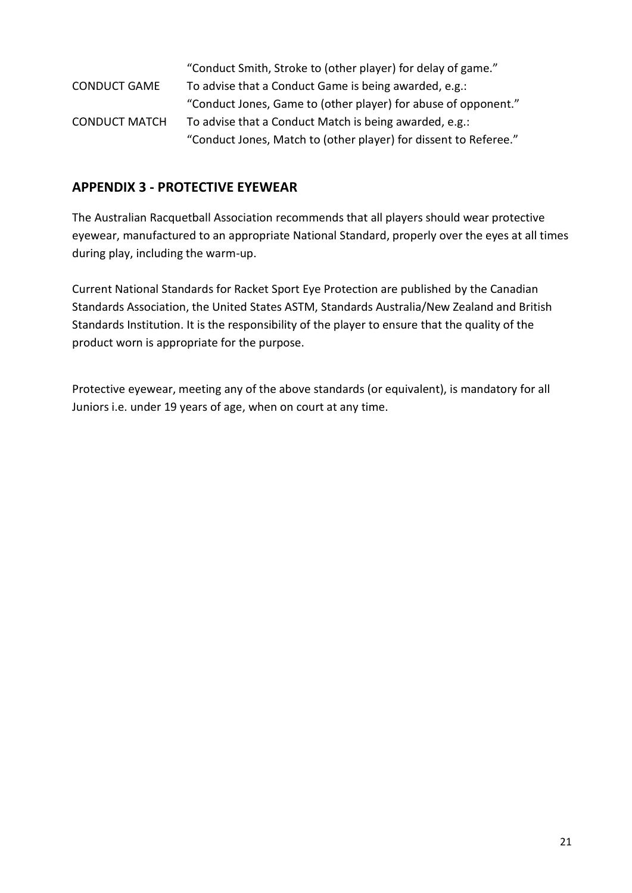|                      | "Conduct Smith, Stroke to (other player) for delay of game."     |
|----------------------|------------------------------------------------------------------|
| <b>CONDUCT GAME</b>  | To advise that a Conduct Game is being awarded, e.g.:            |
|                      | "Conduct Jones, Game to (other player) for abuse of opponent."   |
| <b>CONDUCT MATCH</b> | To advise that a Conduct Match is being awarded, e.g.:           |
|                      | "Conduct Jones, Match to (other player) for dissent to Referee." |

## **APPENDIX 3 - PROTECTIVE EYEWEAR**

The Australian Racquetball Association recommends that all players should wear protective eyewear, manufactured to an appropriate National Standard, properly over the eyes at all times during play, including the warm-up.

Current National Standards for Racket Sport Eye Protection are published by the Canadian Standards Association, the United States ASTM, Standards Australia/New Zealand and British Standards Institution. It is the responsibility of the player to ensure that the quality of the product worn is appropriate for the purpose.

Protective eyewear, meeting any of the above standards (or equivalent), is mandatory for all Juniors i.e. under 19 years of age, when on court at any time.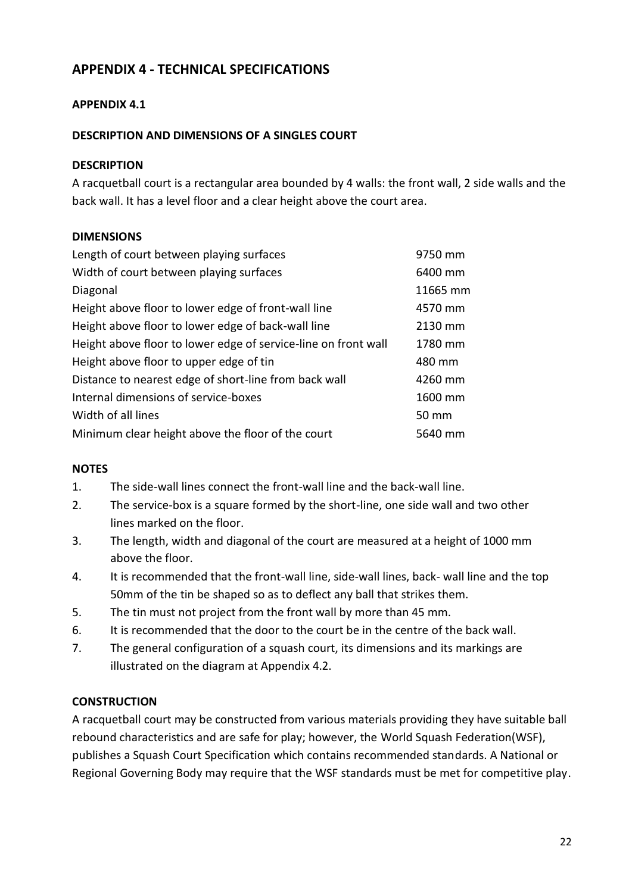# **APPENDIX 4 - TECHNICAL SPECIFICATIONS**

#### **APPENDIX 4.1**

#### **DESCRIPTION AND DIMENSIONS OF A SINGLES COURT**

#### **DESCRIPTION**

A racquetball court is a rectangular area bounded by 4 walls: the front wall, 2 side walls and the back wall. It has a level floor and a clear height above the court area.

#### **DIMENSIONS**

| 9750 mm  |
|----------|
| 6400 mm  |
| 11665 mm |
| 4570 mm  |
| 2130 mm  |
| 1780 mm  |
| 480 mm   |
| 4260 mm  |
| 1600 mm  |
| 50 mm    |
| 5640 mm  |
|          |

#### **NOTES**

- 1. The side-wall lines connect the front-wall line and the back-wall line.
- 2. The service-box is a square formed by the short-line, one side wall and two other lines marked on the floor.
- 3. The length, width and diagonal of the court are measured at a height of 1000 mm above the floor.
- 4. It is recommended that the front-wall line, side-wall lines, back- wall line and the top 50mm of the tin be shaped so as to deflect any ball that strikes them.
- 5. The tin must not project from the front wall by more than 45 mm.
- 6. It is recommended that the door to the court be in the centre of the back wall.
- 7. The general configuration of a squash court, its dimensions and its markings are illustrated on the diagram at Appendix 4.2.

#### **CONSTRUCTION**

A racquetball court may be constructed from various materials providing they have suitable ball rebound characteristics and are safe for play; however, the World Squash Federation(WSF), publishes a Squash Court Specification which contains recommended standards. A National or Regional Governing Body may require that the WSF standards must be met for competitive play.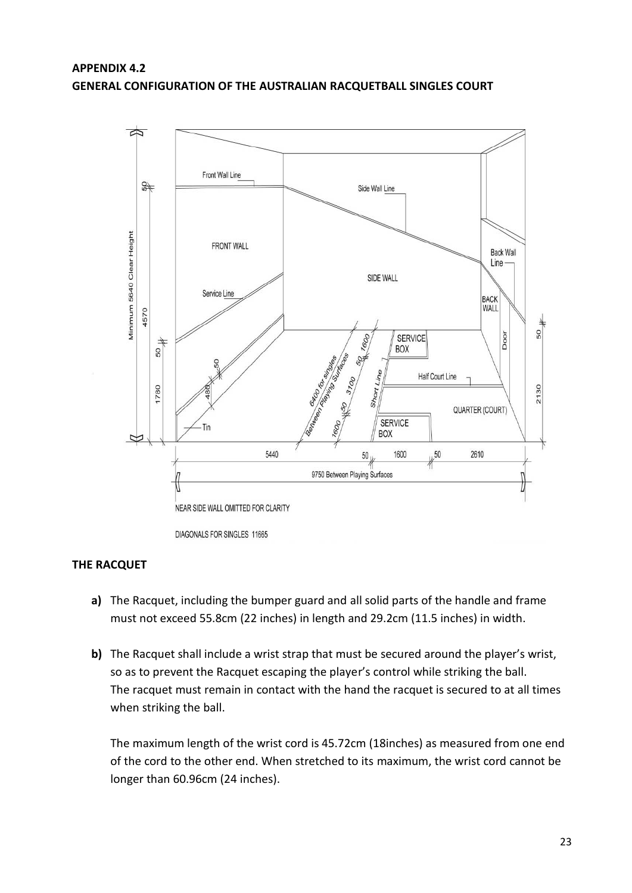#### **APPENDIX 4.2 GENERAL CONFIGURATION OF THE AUSTRALIAN RACQUETBALL SINGLES COURT**



#### **THE RACQUET**

- **a)** The Racquet, including the bumper guard and all solid parts of the handle and frame must not exceed 55.8cm (22 inches) in length and 29.2cm (11.5 inches) in width.
- **b)** The Racquet shall include a wrist strap that must be secured around the player's wrist, so as to prevent the Racquet escaping the player's control while striking the ball. The racquet must remain in contact with the hand the racquet is secured to at all times when striking the ball.

The maximum length of the wrist cord is 45.72cm (18inches) as measured from one end of the cord to the other end. When stretched to its maximum, the wrist cord cannot be longer than 60.96cm (24 inches).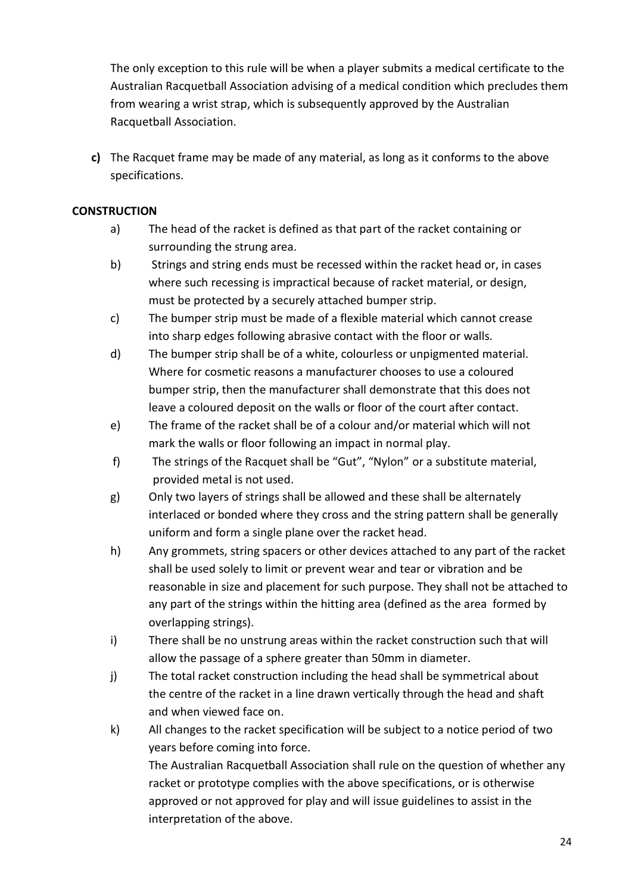The only exception to this rule will be when a player submits a medical certificate to the Australian Racquetball Association advising of a medical condition which precludes them from wearing a wrist strap, which is subsequently approved by the Australian Racquetball Association.

**c)** The Racquet frame may be made of any material, as long as it conforms to the above specifications.

#### **CONSTRUCTION**

- a) The head of the racket is defined as that part of the racket containing or surrounding the strung area.
- b) Strings and string ends must be recessed within the racket head or, in cases where such recessing is impractical because of racket material, or design, must be protected by a securely attached bumper strip.
- c) The bumper strip must be made of a flexible material which cannot crease into sharp edges following abrasive contact with the floor or walls.
- d) The bumper strip shall be of a white, colourless or unpigmented material. Where for cosmetic reasons a manufacturer chooses to use a coloured bumper strip, then the manufacturer shall demonstrate that this does not leave a coloured deposit on the walls or floor of the court after contact.
- e) The frame of the racket shall be of a colour and/or material which will not mark the walls or floor following an impact in normal play.
- f) The strings of the Racquet shall be "Gut", "Nylon" or a substitute material, provided metal is not used.
- g) Only two layers of strings shall be allowed and these shall be alternately interlaced or bonded where they cross and the string pattern shall be generally uniform and form a single plane over the racket head.
- h) Any grommets, string spacers or other devices attached to any part of the racket shall be used solely to limit or prevent wear and tear or vibration and be reasonable in size and placement for such purpose. They shall not be attached to any part of the strings within the hitting area (defined as the area formed by overlapping strings).
- i) There shall be no unstrung areas within the racket construction such that will allow the passage of a sphere greater than 50mm in diameter.
- j) The total racket construction including the head shall be symmetrical about the centre of the racket in a line drawn vertically through the head and shaft and when viewed face on.
- k) All changes to the racket specification will be subject to a notice period of two years before coming into force. The Australian Racquetball Association shall rule on the question of whether any racket or prototype complies with the above specifications, or is otherwise approved or not approved for play and will issue guidelines to assist in the interpretation of the above.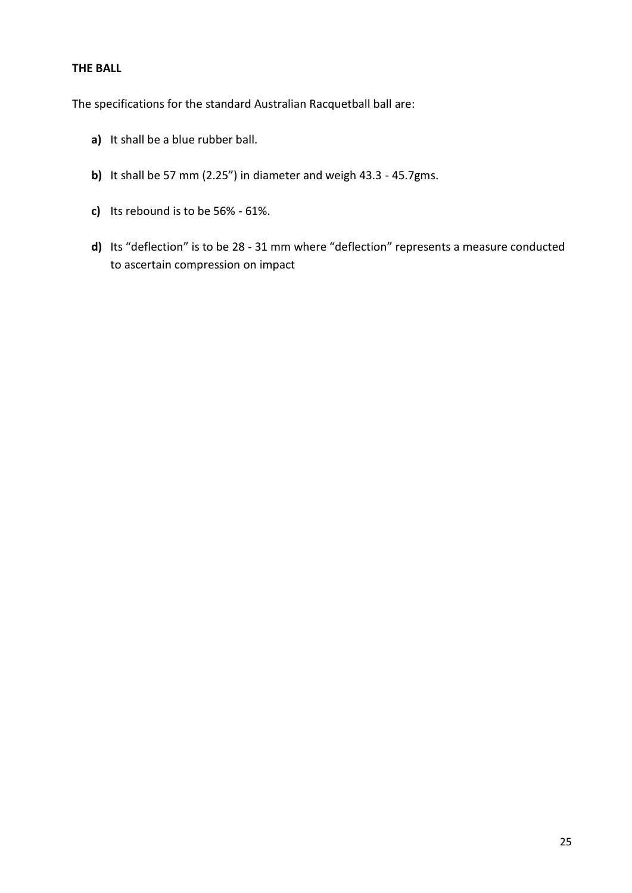#### **THE BALL**

The specifications for the standard Australian Racquetball ball are:

- **a)** It shall be a blue rubber ball.
- **b)** It shall be 57 mm (2.25") in diameter and weigh 43.3 45.7gms.
- **c)** Its rebound is to be 56% 61%.
- **d)** Its "deflection" is to be 28 31 mm where "deflection" represents a measure conducted to ascertain compression on impact